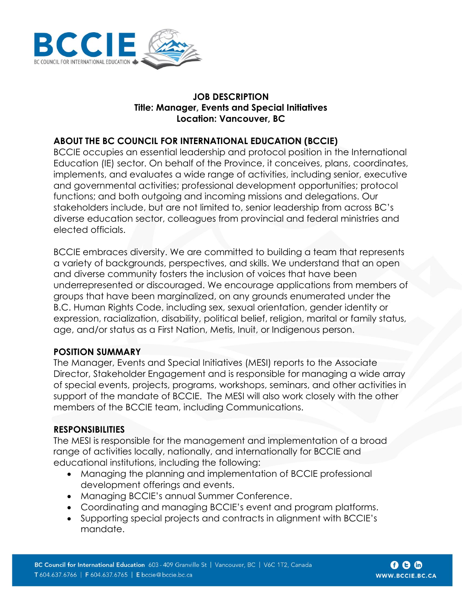

### **JOB DESCRIPTION Title: Manager, Events and Special Initiatives Location: Vancouver, BC**

# **ABOUT THE BC COUNCIL FOR INTERNATIONAL EDUCATION (BCCIE)**

BCCIE occupies an essential leadership and protocol position in the International Education (IE) sector. On behalf of the Province, it conceives, plans, coordinates, implements, and evaluates a wide range of activities, including senior, executive and governmental activities; professional development opportunities; protocol functions; and both outgoing and incoming missions and delegations. Our stakeholders include, but are not limited to, senior leadership from across BC's diverse education sector, colleagues from provincial and federal ministries and elected officials.

BCCIE embraces diversity. We are committed to building a team that represents a variety of backgrounds, perspectives, and skills. We understand that an open and diverse community fosters the inclusion of voices that have been underrepresented or discouraged. We encourage applications from members of groups that have been marginalized, on any grounds enumerated under the B.C. Human Rights Code, including sex, sexual orientation, gender identity or expression, racialization, disability, political belief, religion, marital or family status, age, and/or status as a First Nation, Metis, Inuit, or Indigenous person.

## **POSITION SUMMARY**

The Manager, Events and Special Initiatives (MESI) reports to the Associate Director, Stakeholder Engagement and is responsible for managing a wide array of special events, projects, programs, workshops, seminars, and other activities in support of the mandate of BCCIE. The MESI will also work closely with the other members of the BCCIE team, including Communications.

## **RESPONSIBILITIES**

The MESI is responsible for the management and implementation of a broad range of activities locally, nationally, and internationally for BCCIE and educational institutions, including the following:

- Managing the planning and implementation of BCCIE professional development offerings and events.
- Managing BCCIE's annual Summer Conference.
- Coordinating and managing BCCIE's event and program platforms.
- Supporting special projects and contracts in alignment with BCCIE's mandate.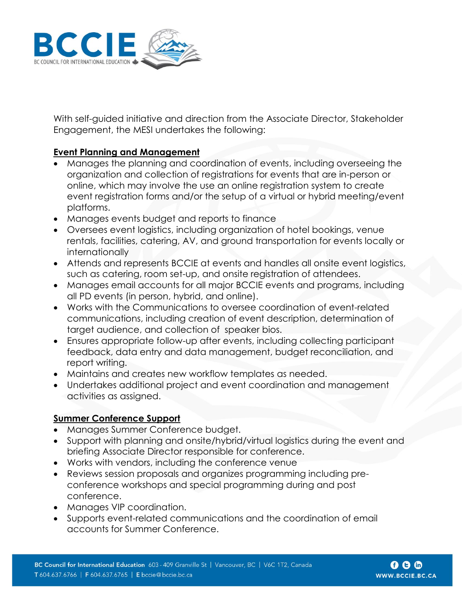

With self-guided initiative and direction from the Associate Director, Stakeholder Engagement, the MESI undertakes the following:

# **Event Planning and Management**

- Manages the planning and coordination of events, including overseeing the organization and collection of registrations for events that are in-person or online, which may involve the use an online registration system to create event registration forms and/or the setup of a virtual or hybrid meeting/event platforms.
- Manages events budget and reports to finance
- Oversees event logistics, including organization of hotel bookings, venue rentals, facilities, catering, AV, and ground transportation for events locally or internationally
- Attends and represents BCCIE at events and handles all onsite event logistics, such as catering, room set-up, and onsite registration of attendees.
- Manages email accounts for all major BCCIE events and programs, including all PD events (in person, hybrid, and online).
- Works with the Communications to oversee coordination of event-related communications, including creation of event description, determination of target audience, and collection of speaker bios.
- Ensures appropriate follow-up after events, including collecting participant feedback, data entry and data management, budget reconciliation, and report writing.
- Maintains and creates new workflow templates as needed.
- Undertakes additional project and event coordination and management activities as assigned.

## **Summer Conference Support**

- Manages Summer Conference budget.
- Support with planning and onsite/hybrid/virtual logistics during the event and briefing Associate Director responsible for conference.
- Works with vendors, including the conference venue
- Reviews session proposals and organizes programming including preconference workshops and special programming during and post conference.
- Manages VIP coordination.
- Supports event-related communications and the coordination of email accounts for Summer Conference.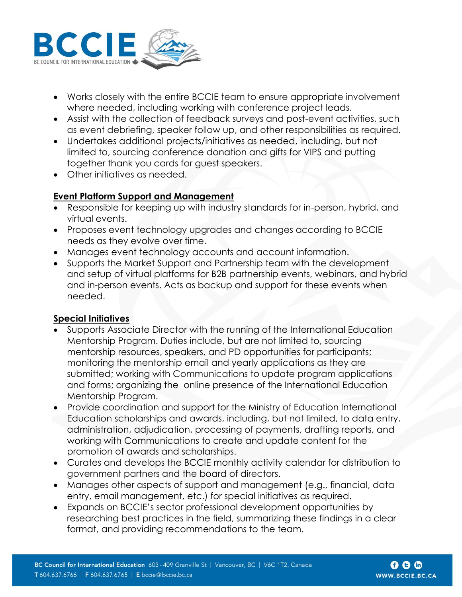

- Works closely with the entire BCCIE team to ensure appropriate involvement where needed, including working with conference project leads.
- Assist with the collection of feedback surveys and post-event activities, such as event debriefing, speaker follow up, and other responsibilities as required.
- Undertakes additional projects/initiatives as needed, including, but not limited to, sourcing conference donation and gifts for VIPS and putting together thank you cards for guest speakers.
- Other initiatives as needed.

# **Event Platform Support and Management**

- Responsible for keeping up with industry standards for in-person, hybrid, and virtual events.
- Proposes event technology upgrades and changes according to BCCIE needs as they evolve over time.
- Manages event technology accounts and account information.
- Supports the Market Support and Partnership team with the development and setup of virtual platforms for B2B partnership events, webinars, and hybrid and in-person events. Acts as backup and support for these events when needed.

## **Special Initiatives**

- Supports Associate Director with the running of the International Education Mentorship Program. Duties include, but are not limited to, sourcing mentorship resources, speakers, and PD opportunities for participants; monitoring the mentorship email and yearly applications as they are submitted; working with Communications to update program applications and forms; organizing the online presence of the International Education Mentorship Program.
- Provide coordination and support for the Ministry of Education International Education scholarships and awards, including, but not limited, to data entry, administration, adjudication, processing of payments, drafting reports, and working with Communications to create and update content for the promotion of awards and scholarships.
- Curates and develops the BCCIE monthly activity calendar for distribution to government partners and the board of directors.
- Manages other aspects of support and management (e.g., financial, data entry, email management, etc.) for special initiatives as required.
- Expands on BCCIE's sector professional development opportunities by researching best practices in the field, summarizing these findings in a clear format, and providing recommendations to the team.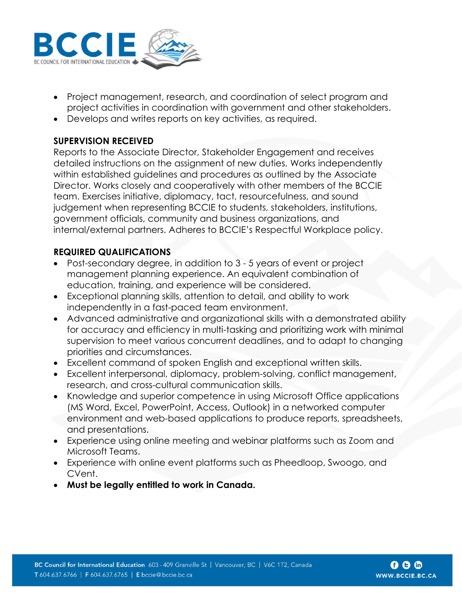

- Project management, research, and coordination of select program and project activities in coordination with government and other stakeholders.
- Develops and writes reports on key activities, as required.

# **SUPERVISION RECEIVED**

Reports to the Associate Director, Stakeholder Engagement and receives detailed instructions on the assignment of new duties. Works independently within established guidelines and procedures as outlined by the Associate Director. Works closely and cooperatively with other members of the BCCIE team. Exercises initiative, diplomacy, tact, resourcefulness, and sound judgement when representing BCCIE to students, stakeholders, institutions, government officials, community and business organizations, and internal/external partners. Adheres to BCCIE's Respectful Workplace policy.

# **REQUIRED QUALIFICATIONS**

- Post-secondary degree, in addition to 3 5 years of event or project management planning experience. An equivalent combination of education, training, and experience will be considered.
- Exceptional planning skills, attention to detail, and ability to work independently in a fast-paced team environment.
- Advanced administrative and organizational skills with a demonstrated ability for accuracy and efficiency in multi-tasking and prioritizing work with minimal supervision to meet various concurrent deadlines, and to adapt to changing priorities and circumstances.
- Excellent command of spoken English and exceptional written skills.
- Excellent interpersonal, diplomacy, problem-solving, conflict management, research, and cross-cultural communication skills.
- Knowledge and superior competence in using Microsoft Office applications (MS Word, Excel, PowerPoint, Access, Outlook) in a networked computer environment and web-based applications to produce reports, spreadsheets, and presentations.
- Experience using online meeting and webinar platforms such as Zoom and Microsoft Teams.
- Experience with online event platforms such as Pheedloop, Swoogo, and CVent.
- **Must be legally entitled to work in Canada.**